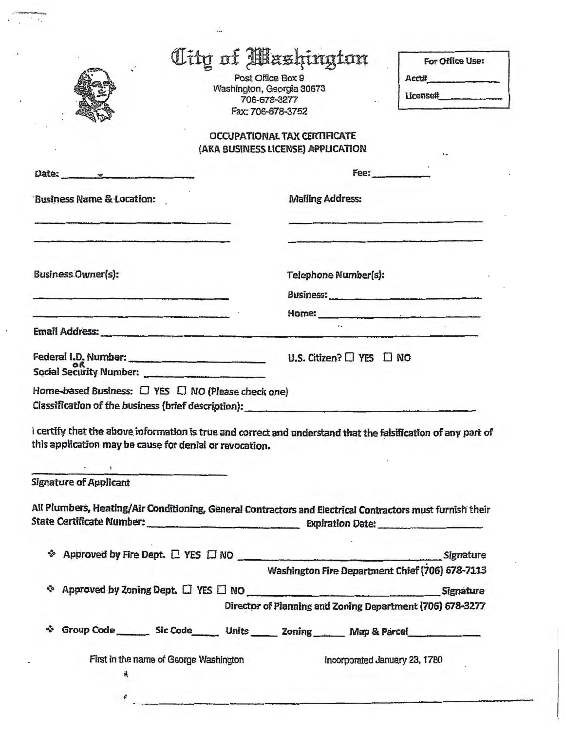|                                                                                                                                                                                                                                                                                             | Oity of Mashington<br>Post Office Box 9<br>Washington, Georgia 30673<br>706-678-3277<br>Fax: 706-678-3752 | For Office Use:<br>Acct#<br>License#                                                                                                                                                                                                                         |
|---------------------------------------------------------------------------------------------------------------------------------------------------------------------------------------------------------------------------------------------------------------------------------------------|-----------------------------------------------------------------------------------------------------------|--------------------------------------------------------------------------------------------------------------------------------------------------------------------------------------------------------------------------------------------------------------|
|                                                                                                                                                                                                                                                                                             | <b>OCCUPATIONAL TAX CERTIFICATE</b><br>(AKA BUSINESS LICENSE) APPLICATION                                 |                                                                                                                                                                                                                                                              |
| Date: v                                                                                                                                                                                                                                                                                     |                                                                                                           | Fee:                                                                                                                                                                                                                                                         |
| <b>Business Name &amp; Location:</b>                                                                                                                                                                                                                                                        | <b>Mailing Address:</b>                                                                                   | <u> 1980 - Johann Marie Barn, margaret amerikan basal dan basal dan basal dan basal dan basal dan basal dan basal dan basal dan basal dan basal dan basal dan basal dan basal dan basal dan basal dan basal dan basal dan basal </u>                         |
| <b>Business Owner(s):</b>                                                                                                                                                                                                                                                                   |                                                                                                           | Telephone Number(s):<br>Business: <b>Manual Manual Community of the Community of the Community of the Community of the Community of the Community of the Community of the Community of the Community of the Community of the Community of the Community </b> |
| <b>CONTRACTOR</b> CONTRACTOR                                                                                                                                                                                                                                                                |                                                                                                           |                                                                                                                                                                                                                                                              |
| Social Security Number:<br>Home-based Business: $\Box$ YES $\Box$ NO (Please check one)<br>Classification of the business (brief description): Classification control to the classification of the business (brief description):<br>this application may be cause for denial or revocation. |                                                                                                           | I certify that the above information is true and correct and understand that the falsification of any part of                                                                                                                                                |
|                                                                                                                                                                                                                                                                                             |                                                                                                           |                                                                                                                                                                                                                                                              |
| the contract of the contract of the contract of the contract of the contract of                                                                                                                                                                                                             |                                                                                                           |                                                                                                                                                                                                                                                              |
|                                                                                                                                                                                                                                                                                             |                                                                                                           | All Plumbers, Heating/Air Conditioning, General Contractors and Electrical Contractors must furnish their<br>State Certificate Number: Expiration Date:                                                                                                      |
| $\bullet$                                                                                                                                                                                                                                                                                   |                                                                                                           |                                                                                                                                                                                                                                                              |
|                                                                                                                                                                                                                                                                                             |                                                                                                           | Washington Fire Department Chief (706) 678-7113<br>Approved by Zoning Dept. $\Box$ YES $\Box$ NO Signature                                                                                                                                                   |
|                                                                                                                                                                                                                                                                                             |                                                                                                           | Director of Planning and Zoning Department (706) 678-3277                                                                                                                                                                                                    |
| <b>Signature of Applicant</b><br>First in the name of George Washington<br>릑                                                                                                                                                                                                                |                                                                                                           | Group Code Sic Code Units Zoning Map & Parcel<br>Incorporated January 23, 1780                                                                                                                                                                               |

 $\frac{1}{2}$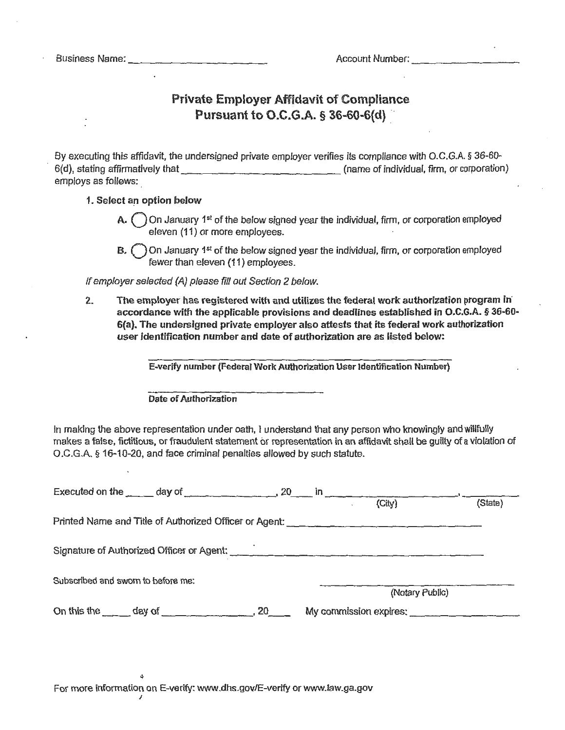# **Private Employer Affidavit of Compliance Pursuant to O.C.G.A.** § **36-60-G{d)** \_··

By executing this affidavit, the undersigned private employer verifies its compliance with O.C.G.A. § 36-60- 6(d), stating affirmatively that \_\_\_\_\_\_\_\_\_\_\_\_\_\_\_\_\_\_\_\_\_\_\_\_\_\_\_\_\_\_\_\_\_(name of individual, firm, or corporation) employs as follows:

#### **1. Select an option below**

- **A.**  $\bigcap$  On January 1<sup>st</sup> of the below signed year the individual, firm, or corporation employed eleven (11) or more employees.
- **B.**  $\bigcap$  On January 1<sup>st</sup> of the below signed year the individual, firm, or corporation employed fewer than eleven (11) employees.

If employer selected (A) please fill out Section 2 below.

-----------

**2. The employer** has **registered with and utilizes the federal work authorization program in· accordance with the applicable provisions and deadlines established in O.C.G.A.** § **36-60- 6(a). The undersigned private employer also attests that its federal work authorization user identification number and date of authorization are as listed below:** 

E-verify number (Federal **Work** Authorization User Identification Number)

**Date of Authorization** 

In making the above representation under oath, I understand that any person who knowingly and willfully makes a false, fictitious, or fraudulent statement or representation in an affidavit shall be guilty of a violation of O.C.G.A. § 16-10-20, and face criminal penalties allowed by such statute.

|                                                                                     | (City)                 | (State) |
|-------------------------------------------------------------------------------------|------------------------|---------|
|                                                                                     |                        |         |
| Signature of Authorized Officer or Agent: Campion Communication of Authorization of |                        |         |
| Subscribed and swom to before me:                                                   | (Notary Public)        |         |
| On this the day of 20                                                               | My commission expires: |         |

For more information on E-verify: www.dhs.gov/E-verify or www.law.ga.gov

*I*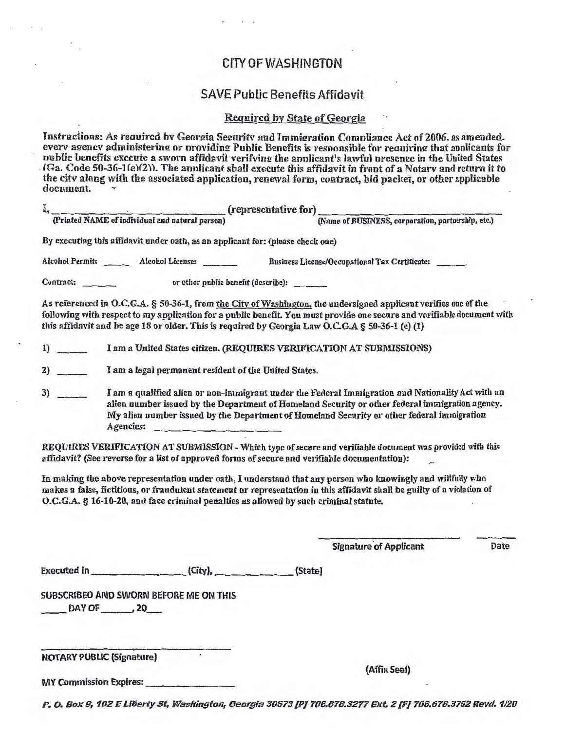## CITY OF WASHINGTON

, r

## SAVE Public Benefits Affidavit

### Required by State of Georgia

Instructions: As reauired by Georgia Security and Immigration Compliance Act of 2006, as amended. every agency administering or providing Public Benefits is responsible for requiring that annlicants for nublic benefits execute a sworn affidavit verifying the annlicant's lawful presence in the United States . (Ga. Code 50-36-1 *(* e)(2)). The annlicant shall execute this affidavit in front of a Notarv and return it to the citv along with the assocfated application, renewal form, contract, bid packet, or other applicable document.

| I,        |                                                                                 | (representative for)                                                                                                                                                                                                                                                                                                                                                                                                              |      |
|-----------|---------------------------------------------------------------------------------|-----------------------------------------------------------------------------------------------------------------------------------------------------------------------------------------------------------------------------------------------------------------------------------------------------------------------------------------------------------------------------------------------------------------------------------|------|
|           | (Printed NAME of individual and natural person)                                 | (Name of BUSINESS, corporation, partnership, etc.)                                                                                                                                                                                                                                                                                                                                                                                |      |
|           | By executing this affidavit under oath, as an applicant for: (please check one) |                                                                                                                                                                                                                                                                                                                                                                                                                                   |      |
|           | Alcohol Permit: ______ Alcohol License:                                         | Business License/Occupational Tax Certificate:                                                                                                                                                                                                                                                                                                                                                                                    |      |
| Contract: |                                                                                 | or other public benefit (describe):                                                                                                                                                                                                                                                                                                                                                                                               |      |
|           |                                                                                 | As referenced in O.C.G.A. § 50-36-1, from the City of Washington, the undersigned applicant verifies one of the<br>following with respect to my application for a public benefit. You must provide one secure and verifiable document with<br>this affidavit and be age 18 or older. This is required by Georgia Law O.C.G.A § 50-36-1 (e) (1)                                                                                    |      |
| 1)        |                                                                                 | I am a United States citizen. (REQUIRES VERIFICATION AT SUBMISSIONS)                                                                                                                                                                                                                                                                                                                                                              |      |
| 2)        | I am a legal permanent resident of the United States.                           |                                                                                                                                                                                                                                                                                                                                                                                                                                   |      |
| 3)        | Agencies:                                                                       | I am a qualified alien or non-immigrant under the Federal Immigration and Nationality Act with an<br>alien number issued by the Department of Homeland Security or other federal immigration agency.<br>My alien number issued by the Department of Homeland Security or other federal immigration                                                                                                                                |      |
|           |                                                                                 | affidavit? (See reverse for a list of approved forms of secure and verifiable documentation):<br>In making the above representation under oath, I understand that any person who knowingly and willfully who<br>makes a false, fictitious, or fraudulent statement or representation in this affidavit shall be guilty of a violation of<br>O.C.G.A. § 16-10-20, and face criminal penalties as allowed by such criminal statute. |      |
|           |                                                                                 | <b>Signature of Applicant</b>                                                                                                                                                                                                                                                                                                                                                                                                     | Date |
|           | Executed in <b>Executed</b> in <b>Executed</b><br>$(City)$ ,                    | <u>and a station</u><br>(State)                                                                                                                                                                                                                                                                                                                                                                                                   |      |
|           | SUBSCRIBED AND SWORN BEFORE ME ON THIS<br>$DAYOF$ <sub>20</sub>                 |                                                                                                                                                                                                                                                                                                                                                                                                                                   |      |
|           | <b>NOTARY PUBLIC (Signature)</b>                                                | (Affix Seal)                                                                                                                                                                                                                                                                                                                                                                                                                      |      |
|           | <b>MY Commission Expires:</b>                                                   |                                                                                                                                                                                                                                                                                                                                                                                                                                   |      |
|           |                                                                                 | P. O. Box 9, 102 E Liberty St, Washington, Georgia 30673 [P] 706.678.3277 Ext. 2 [F] 706.678.3752 Revd. 1/20                                                                                                                                                                                                                                                                                                                      |      |